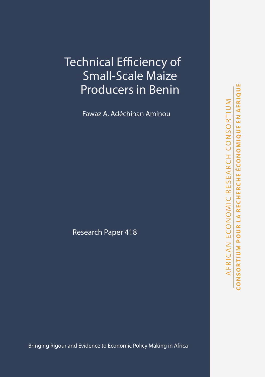# Technical Efficiency of Small-Scale Maize Producers in Benin

Fawaz A. Adéchinan Aminou

Research Paper 418

Bringing Rigour and Evidence to Economic Policy Making in Africa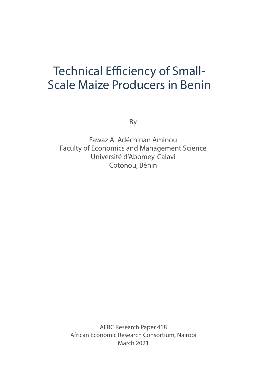# Technical Efficiency of Small-Scale Maize Producers in Benin

By

Fawaz A. Adéchinan Aminou Faculty of Economics and Management Science Université d'Abomey-Calavi Cotonou, Bénin

AERC Research Paper 418 African Economic Research Consortium, Nairobi March 2021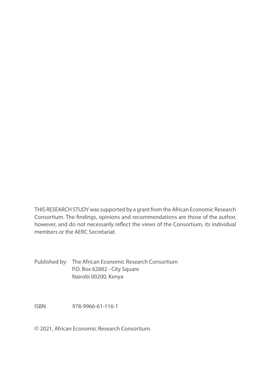THIS RESEARCH STUDY was supported by a grant from the African Economic Research Consortium. The findings, opinions and recommendations are those of the author, however, and do not necessarily reflect the views of the Consortium, its individual members or the AERC Secretariat.

Published by: The African Economic Research Consortium P.O. Box 62882 - City Square Nairobi 00200, Kenya

ISBN 978-9966-61-116-1

© 2021, African Economic Research Consortium.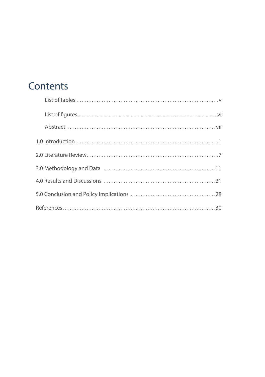## **Contents**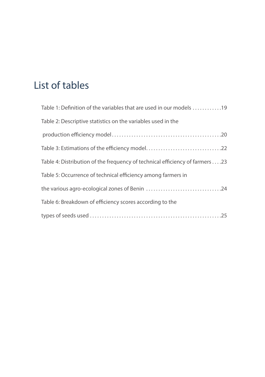# List of tables

| Table 1: Definition of the variables that are used in our models 19          |
|------------------------------------------------------------------------------|
| Table 2: Descriptive statistics on the variables used in the                 |
|                                                                              |
|                                                                              |
| Table 4: Distribution of the frequency of technical efficiency of farmers 23 |
| Table 5: Occurrence of technical efficiency among farmers in                 |
|                                                                              |
| Table 6: Breakdown of efficiency scores according to the                     |
|                                                                              |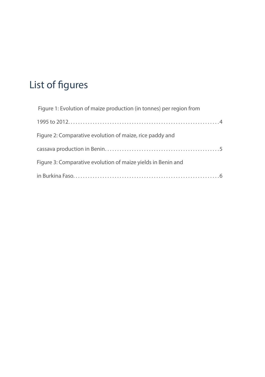# List of figures

| Figure 1: Evolution of maize production (in tonnes) per region from |
|---------------------------------------------------------------------|
|                                                                     |
| Figure 2: Comparative evolution of maize, rice paddy and            |
|                                                                     |
| Figure 3: Comparative evolution of maize yields in Benin and        |
|                                                                     |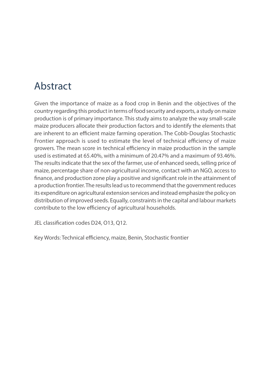## **Abstract**

Given the importance of maize as a food crop in Benin and the objectives of the country regarding this product in terms of food security and exports, a study on maize production is of primary importance. This study aims to analyze the way small-scale maize producers allocate their production factors and to identify the elements that are inherent to an efficient maize farming operation. The Cobb-Douglas Stochastic Frontier approach is used to estimate the level of technical efficiency of maize growers. The mean score in technical efficiency in maize production in the sample used is estimated at 65.40%, with a minimum of 20.47% and a maximum of 93.46%. The results indicate that the sex of the farmer, use of enhanced seeds, selling price of maize, percentage share of non-agricultural income, contact with an NGO, access to finance, and production zone play a positive and significant role in the attainment of a production frontier. The results lead us to recommend that the government reduces its expenditure on agricultural extension services and instead emphasize the policy on distribution of improved seeds. Equally, constraints in the capital and labour markets contribute to the low efficiency of agricultural households.

JEL classification codes D24, O13, Q12.

Key Words: Technical efficiency, maize, Benin, Stochastic frontier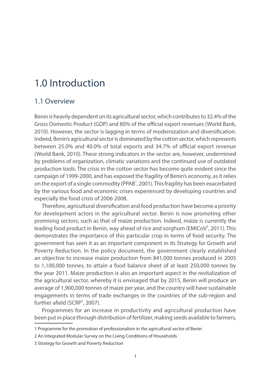## 1.0 Introduction

#### 1.1 Overview

Benin is heavily dependent on its agricultural sector, which contributes to 32.4% of the Gross Domestic Product (GDP) and 80% of the official export revenues (World Bank, 2010). However, the sector is lagging in terms of modernization and diversification. Indeed, Benin's agricultural sector is dominated by the cotton sector, which represents between 25.0% and 40.0% of total exports and 34.7% of official export revenue (World Bank, 2010). These strong indicators in the sector are, however, undermined by problems of organization, climatic variations and the continued use of outdated production tools. The crisis in the cotton sector has become quite evident since the campaign of 1999-2000, and has exposed the fragility of Benin's economy, as it relies on the export of a single commodity (PPAB<sup>1</sup>, 2001). This fragility has been exacerbated by the various food and economic crises experienced by developing countries and especially the food crisis of 2006-2008.

Therefore, agricultural diversification and food production have become a priority for development actors in the agricultural sector. Benin is now promoting other promising sectors, such as that of maize production. Indeed, maize is currently the leading food product in Benin, way ahead of rice and sorghum (EMICoV<sup>2</sup>, 2011). This demonstrates the importance of this particular crop in terms of food security. The government has seen it as an important component in its Strategy for Growth and Poverty Reduction. In the policy document, the government clearly established an objective to increase maize production from 841,000 tonnes produced in 2005 to 1,100,000 tonnes, to attain a food balance sheet of at least 250,000 tonnes by the year 2011. Maize production is also an important aspect in the revitalization of the agricultural sector, whereby it is envisaged that by 2015, Benin will produce an average of 1,900,000 tonnes of maize per year, and the country will have sustainable engagements in terms of trade exchanges in the countries of the sub-region and further afield (SCRP<sup>3</sup>, 2007).

Programmes for an increase in productivity and agricultural production have been put in place through distribution of fertilizer, making seeds available to farmers,

<sup>1</sup> Programme for the promotion of professionalism in the agricultural sector of Benin

<sup>2</sup> An Integrated Modular Survey on the Living Conditions of Households

<sup>3</sup> Strategy for Growth and Poverty Reduction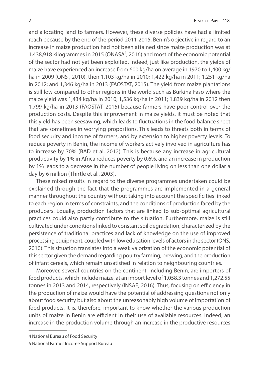and allocating land to farmers. However, these diverse policies have had a limited reach because by the end of the period 2011-2015, Benin's objective in regard to an increase in maize production had not been attained since maize production was at 1,438,918 kilogrammes in 2015 (ONASA<sup>4</sup>, 2016) and most of the economic potential of the sector had not yet been exploited. Indeed, just like production, the yields of maize have experienced an increase from 600 kg/ha on average in 1970 to 1,400 kg/ ha in 2009 (ONS<sup>5</sup>, 2010), then 1,103 kg/ha in 2010; 1,422 kg/ha in 2011; 1,251 kg/ha in 2012; and 1,346 kg/ha in 2013 (FAOSTAT, 2015). The yield from maize plantations is still low compared to other regions in the world such as Burkina Faso where the maize yield was 1,434 kg/ha in 2010; 1,536 kg/ha in 2011; 1,839 kg/ha in 2012 then 1,799 kg/ha in 2013 (FAOSTAT, 2015) because farmers have poor control over the production costs. Despite this improvement in maize yields, it must be noted that this yield has been seesawing, which leads to fluctuations in the food balance sheet that are sometimes in worrying proportions. This leads to threats both in terms of food security and income of farmers, and by extension to higher poverty levels. To reduce poverty in Benin, the income of workers actively involved in agriculture has to increase by 70% (BAD et al. 2012). This is because any increase in agricultural productivity by 1% in Africa reduces poverty by 0.6%, and an increase in production by 1% leads to a decrease in the number of people living on less than one dollar a day by 6 million (Thirtle et al., 2003).

These mixed results in regard to the diverse programmes undertaken could be explained through the fact that the programmes are implemented in a general manner throughout the country without taking into account the specificities linked to each region in terms of constraints, and the conditions of production faced by the producers. Equally, production factors that are linked to sub-optimal agricultural practices could also partly contribute to the situation. Furthermore, maize is still cultivated under conditions linked to constant soil degradation, characterized by the persistence of traditional practices and lack of knowledge on the use of improved processing equipment, coupled with low education levels of actors in the sector (ONS, 2010). This situation translates into a weak valorization of the economic potential of this sector given the demand regarding poultry farming, brewing, and the production of infant cereals, which remain unsatisfied in relation to neighbouring countries.

Moreover, several countries on the continent, including Benin, are importers of food products, which include maize, at an import level of 1,058.3 tonnes and 1,272.55 tonnes in 2013 and 2014, respectively (INSAE, 2016). Thus, focusing on efficiency in the production of maize would have the potential of addressing questions not only about food security but also about the unreasonably high volume of importation of food products. It is, therefore, important to know whether the various production units of maize in Benin are efficient in their use of available resources. Indeed, an increase in the production volume through an increase in the productive resources

<sup>4</sup> National Bureau of Food Security

<sup>5</sup> National Farmer Income Support Bureau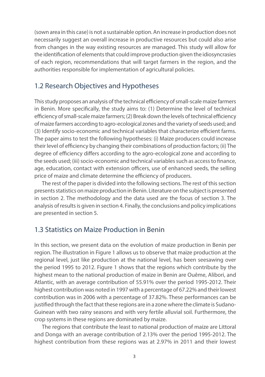(sown area in this case) is not a sustainable option. An increase in production does not necessarily suggest an overall increase in productive resources but could also arise from changes in the way existing resources are managed. This study will allow for the identification of elements that could improve production given the idiosyncrasies of each region, recommendations that will target farmers in the region, and the authorities responsible for implementation of agricultural policies.

### 1.2 Research Objectives and Hypotheses

This study proposes an analysis of the technical efficiency of small-scale maize farmers in Benin. More specifically, the study aims to: (1) Determine the level of technical efficiency of small-scale maize farmers; (2) Break down the levels of technical efficiency of maize farmers according to agro-ecological zones and the variety of seeds used; and (3) Identify socio-economic and technical variables that characterize efficient farms. The paper aims to test the following hypotheses: (i) Maize producers could increase their level of efficiency by changing their combinations of production factors; (ii) The degree of efficiency differs according to the agro-ecological zone and according to the seeds used; (iii) socio-economic and technical variables such as access to finance, age, education, contact with extension officers, use of enhanced seeds, the selling price of maize and climate determine the efficiency of producers.

The rest of the paper is divided into the following sections. The rest of this section presents statistics on maize production in Benin. Literature on the subject is presented in section 2. The methodology and the data used are the focus of section 3. The analysis of results is given in section 4. Finally, the conclusions and policy implications are presented in section 5.

#### 1.3 Statistics on Maize Production in Benin

In this section, we present data on the evolution of maize production in Benin per region. The illustration in Figure 1 allows us to observe that maize production at the regional level, just like production at the national level, has been seesawing over the period 1995 to 2012. Figure 1 shows that the regions which contribute by the highest mean to the national production of maize in Benin are Ouême, Alibori, and Atlantic, with an average contribution of 55.91% over the period 1995-2012. Their highest contribution was noted in 1997 with a percentage of 67.22% and their lowest contribution was in 2006 with a percentage of 37.82%. These performances can be justified through the fact that these regions are in a zone where the climate is Sudano-Guinean with two rainy seasons and with very fertile alluvial soil. Furthermore, the crop systems in these regions are dominated by maize.

The regions that contribute the least to national production of maize are Littoral and Donga with an average contribution of 2.13% over the period 1995-2012. The highest contribution from these regions was at 2.97% in 2011 and their lowest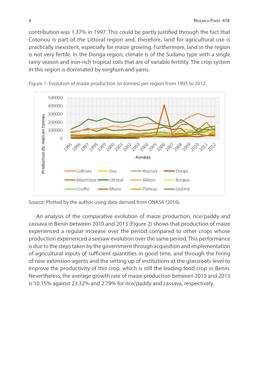contribution was 1.37% in 1997. This could be partly justified through the fact that Cotonou is part of the Littoral region and, therefore, land for agricultural use is practically inexistent, especially for maize growing. Furthermore, land in the region is not very fertile. In the Donga region, climate is of the Sudano type with a single rainy season and iron-rich tropical soils that are of variable fertility. The crop system in this region is dominated by sorghum and yams.





Source: Plotted by the author using data derived from ONASA (2016)

An analysis of the comparative evolution of maize production, rice/paddy and cassava in Benin between 2010 and 2013 (Figure 2) shows that production of maize experienced a regular increase over the period compared to other crops whose production experienced a seesaw evolution over the same period. This performance is due to the steps taken by the government through acquisition and implementation of agricultural inputs of sufficient quantities in good time, and through the hiring of new extension agents and the setting up of institutions at the grassroots level to improve the productivity of this crop, which is still the leading food crop in Benin. Nevertheless, the average growth rate of maize production between 2010 and 2013 is 10.15% against 23.32% and 2.79% for rice/paddy and cassava, respectively.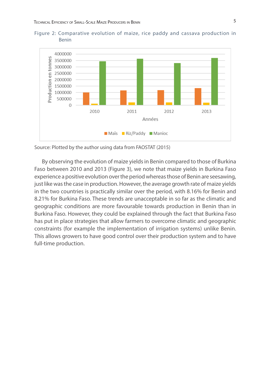

Figure 2: Comparative evolution of maize, rice paddy and cassava production in Benin

Source: Plotted by the author using data from FAOSTAT (2015)

By observing the evolution of maize yields in Benin compared to those of Burkina Faso between 2010 and 2013 (Figure 3), we note that maize yields in Burkina Faso experience a positive evolution over the period whereas those of Benin are seesawing, just like was the case in production. However, the average growth rate of maize yields in the two countries is practically similar over the period, with 8.16% for Benin and 8.21% for Burkina Faso. These trends are unacceptable in so far as the climatic and geographic conditions are more favourable towards production in Benin than in Burkina Faso. However, they could be explained through the fact that Burkina Faso has put in place strategies that allow farmers to overcome climatic and geographic constraints (for example the implementation of irrigation systems) unlike Benin. This allows growers to have good control over their production system and to have full-time production.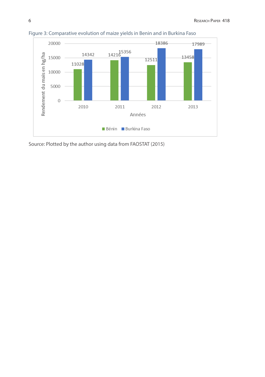

Figure 3: Comparative evolution of maize yields in Benin and in Burkina Faso

Source: Plotted by the author using data from FAOSTAT (2015)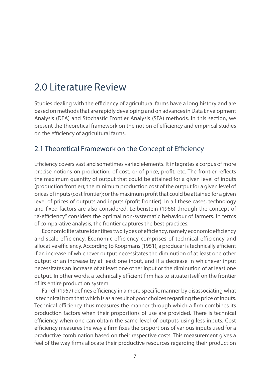## 2.0 Literature Review

Studies dealing with the efficiency of agricultural farms have a long history and are based on methods that are rapidly developing and on advances in Data Envelopment Analysis (DEA) and Stochastic Frontier Analysis (SFA) methods. In this section, we present the theoretical framework on the notion of efficiency and empirical studies on the efficiency of agricultural farms.

### 2.1 Theoretical Framework on the Concept of Efficiency

Efficiency covers vast and sometimes varied elements. It integrates a corpus of more precise notions on production, of cost, or of price, profit, etc. The frontier reflects the maximum quantity of output that could be attained for a given level of inputs (production frontier); the minimum production cost of the output for a given level of prices of inputs (cost frontier); or the maximum profit that could be attained for a given level of prices of outputs and inputs (profit frontier). In all these cases, technology and fixed factors are also considered. Leibenstein (1966) through the concept of "X-efficiency" considers the optimal non-systematic behaviour of farmers. In terms of comparative analysis, the frontier captures the best practices.

Economic literature identifies two types of efficiency, namely economic efficiency and scale efficiency. Economic efficiency comprises of technical efficiency and allocative efficiency. According to Koopmans (1951), a producer is technically efficient if an increase of whichever output necessitates the diminution of at least one other output or an increase by at least one input, and if a decrease in whichever input necessitates an increase of at least one other input or the diminution of at least one output. In other words, a technically efficient firm has to situate itself on the frontier of its entire production system.

Farrell (1957) defines efficiency in a more specific manner by disassociating what is technical from that which is as a result of poor choices regarding the price of inputs. Technical efficiency thus measures the manner through which a firm combines its production factors when their proportions of use are provided. There is technical efficiency when one can obtain the same level of outputs using less inputs. Cost efficiency measures the way a firm fixes the proportions of various inputs used for a productive combination based on their respective costs. This measurement gives a feel of the way firms allocate their productive resources regarding their production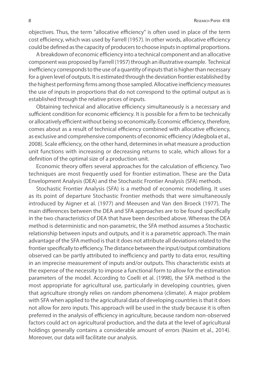objectives. Thus, the term "allocative efficiency" is often used in place of the term cost efficiency, which was used by Farrell (1957). In other words, allocative efficiency could be defined as the capacity of producers to choose inputs in optimal proportions.

A breakdown of economic efficiency into a technical component and an allocative component was proposed by Farrell (1957) through an illustrative example. Technical inefficiency corresponds to the use of a quantity of inputs that is higher than necessary for a given level of outputs. It is estimated through the deviation frontier established by the highest performing firms among those sampled. Allocative inefficiency measures the use of inputs in proportions that do not correspond to the optimal output as is established through the relative prices of inputs.

Obtaining technical and allocative efficiency simultaneously is a necessary and sufficient condition for economic efficiency. It is possible for a firm to be technically or allocatively efficient without being so economically. Economic efficiency, therefore, comes about as a result of technical efficiency combined with allocative efficiency, as exclusive and comprehensive components of economic efficiency (Adegbola et al., 2008). Scale efficiency, on the other hand, determines in what measure a production unit functions with increasing or decreasing returns to scale, which allows for a definition of the optimal size of a production unit.

Economic theory offers several approaches for the calculation of efficiency. Two techniques are most frequently used for frontier estimation. These are the Data Envelopment Analysis (DEA) and the Stochastic Frontier Analysis (SFA) methods.

Stochastic Frontier Analysis (SFA) is a method of economic modelling. It uses as its point of departure Stochastic Frontier methods that were simultaneously introduced by Aigner et al. (1977) and Meeusen and Van den Broeck (1977). The main differences between the DEA and SFA approaches are to be found specifically in the two characteristics of DEA that have been described above. Whereas the DEA method is deterministic and non-parametric, the SFA method assumes a Stochastic relationship between inputs and outputs, and it is a parametric approach. The main advantage of the SFA method is that it does not attribute all deviations related to the frontier specifically to efficiency. The distance between the input/output combinations observed can be partly attributed to inefficiency and partly to data error, resulting in an imprecise measurement of inputs and/or outputs. This characteristic exists at the expense of the necessity to impose a functional form to allow for the estimation parameters of the model. According to Coelli et al. (1998), the SFA method is the most appropriate for agricultural use, particularly in developing countries, given that agriculture strongly relies on random phenomena (climate). A major problem with SFA when applied to the agricultural data of developing countries is that it does not allow for zero inputs. This approach will be used in the study because it is often preferred in the analysis of efficiency in agriculture, because random non-observed factors could act on agricultural production, and the data at the level of agricultural holdings generally contains a considerable amount of errors (Nasim et al., 2014). Moreover, our data will facilitate our analysis.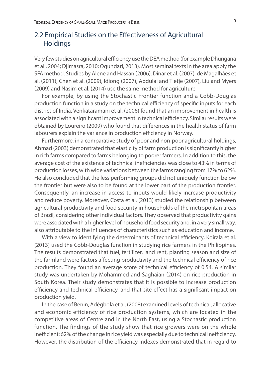### 2.2 Empirical Studies on the Effectiveness of Agricultural **Holdings**

Very few studies on agricultural efficiency use the DEA method (for example Dhungana et al., 2004; Djimasra, 2010; Ogundari, 2013). Most seminal texts in the area apply the SFA method. Studies by Alene and Hassan (2006), Dinar et al. (2007), de Magalhães et al. (2011), Chen et al. (2009), Idiong (2007), Abdulai and Tietje (2007), Liu and Myers (2009) and Nasim et al. (2014) use the same method for agriculture.

For example, by using the Stochastic Frontier function and a Cobb-Douglas production function in a study on the technical efficiency of specific inputs for each district of India, Venkataramani et al. (2006) found that an improvement in health is associated with a significant improvement in technical efficiency. Similar results were obtained by Loureiro (2009) who found that differences in the health status of farm labourers explain the variance in production efficiency in Norway.

Furthermore, in a comparative study of poor and non-poor agricultural holdings, Ahmad (2003) demonstrated that elasticity of farm production is significantly higher in rich farms compared to farms belonging to poorer farmers. In addition to this, the average cost of the existence of technical inefficiencies was close to 43% in terms of production losses, with wide variations between the farms ranging from 17% to 62%. He also concluded that the less performing groups did not uniquely function below the frontier but were also to be found at the lower part of the production frontier. Consequently, an increase in access to inputs would likely increase productivity and reduce poverty. Moreover, Costa et al. (2013) studied the relationship between agricultural productivity and food security in households of the metropolitan areas of Brazil, considering other individual factors. They observed that productivity gains were associated with a higher level of household food security and, in a very small way, also attributable to the influences of characteristics such as education and income.

With a view to identifying the determinants of technical efficiency, Koirala et al. (2013) used the Cobb-Douglas function in studying rice farmers in the Philippines. The results demonstrated that fuel, fertilizer, land rent, planting season and size of the farmland were factors affecting productivity and the technical efficiency of rice production. They found an average score of technical efficiency of 0.54. A similar study was undertaken by Mohammed and Saghaian (2014) on rice production in South Korea. Their study demonstrates that it is possible to increase production efficiency and technical efficiency, and that site effect has a significant impact on production yield.

In the case of Benin, Adégbola et al. (2008) examined levels of technical, allocative and economic efficiency of rice production systems, which are located in the competitive areas of Centre and in the North East, using a Stochastic production function. The findings of the study show that rice growers were on the whole inefficient; 62% of the change in rice yield was especially due to technical inefficiency. However, the distribution of the efficiency indexes demonstrated that in regard to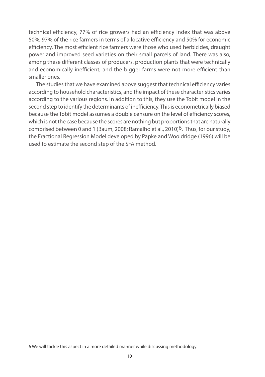technical efficiency, 77% of rice growers had an efficiency index that was above 50%, 97% of the rice farmers in terms of allocative efficiency and 50% for economic efficiency. The most efficient rice farmers were those who used herbicides, draught power and improved seed varieties on their small parcels of land. There was also, among these different classes of producers, production plants that were technically and economically inefficient, and the bigger farms were not more efficient than smaller ones.

The studies that we have examined above suggest that technical efficiency varies according to household characteristics, and the impact of these characteristics varies according to the various regions. In addition to this, they use the Tobit model in the second step to identify the determinants of inefficiency. This is econometrically biased because the Tobit model assumes a double censure on the level of efficiency scores, which is not the case because the scores are nothing but proportions that are naturally comprised between 0 and 1 (Baum, 2008; Ramalho et al., 2010)<sup>6</sup>. Thus, for our study, the Fractional Regression Model developed by Papke and Wooldridge (1996) will be used to estimate the second step of the SFA method.

<sup>6</sup> We will tackle this aspect in a more detailed manner while discussing methodology.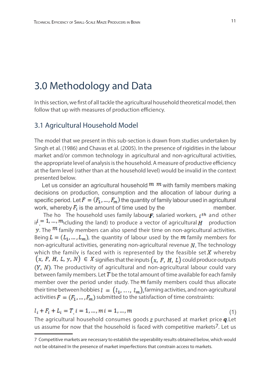### 3.0 Methodology and Data

In this section, we first of all tackle the agricultural household theoretical model, then follow that up with measures of production efficiency.

#### 3.1 Agricultural Household Model

The model that we present in this sub-section is drawn from studies undertaken by Singh et al. (1986) and Chavas et al. (2005). In the presence of rigidities in the labour market and/or common technology in agricultural and non-agricultural activities, the appropriate level of analysis is the household. A measure of productive efficiency at the farm level (rather than at the household level) would be invalid in the context presented below.

Let us consider an agricultural household  $m, m$  with family members making decisions on production, consumption and the allocation of labour during a specific period. Let  $F = (F_1, ..., F_m)$  the quantity of family labour used in agricultural work, whereby  $F_i$  is the amount of time used by the member.

The ho The household uses family labour  $\bf{F}$ , salaried workers,  $\bf{i}$ <sup>th</sup> and other  $i_0 i = 1, ..., m$  cluding the land) to produce a vector of agricultural  $H$  production  $y$ . The  $m$  family members can also spend their time on non-agricultural activities. Being  $L = (L_1, ..., L_m)$ , the quantity of labour used by the m family members for non-agricultural activities, generating non-agricultural revenue  $N$ . The technology which the family is faced with is represented by the feasible set  $X$  whereby  $(x, F, H, L, y, N) \in X$  signifies that the inputs  $(x, F, H, L)$  could produce outputs  $(Y, N)$ . The productivity of agricultural and non-agricultural labour could vary between family members. Let  $T$  be the total amount of time available for each family member over the period under study. The  $m$  family members could thus allocate their time between hobbies  $l = (l_1, ..., l_m)$ , farming activities, and non-agricultural activities  $F = (F_1, ..., F_m)$  submitted to the satisfaction of time constraints:

#### $l_i + F_i + L_i = T$ ,  $i = 1, ..., m$ ,  $i = 1, ..., m$  (1)

The agricultural household consumes goods  $z$  purchased at market price  $q$ . Let us assume for now that the household is faced with competitive markets<sup>7</sup>. Let us

<sup>7</sup> Competitive markets are necessary to establish the seperability results obtained below, which would not be obtained In the presence of market imperfections that constrain access to markets.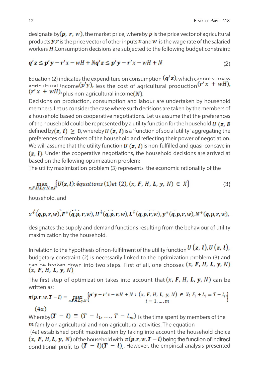designate by  $(p, r, w)$ , the market price, whereby p is the price vector of agricultural products  $y$ , r is the price vector of other inputs x and w is the wage rate of the salaried workers  $H$ . Consumption decisions are subjected to the following budget constraint:

$$
q'z \le p'y - r'x - wH + Nq'z \le p'y - r'x - wH + N \tag{2}
$$

Equation (2) indicates the expenditure on consumption  $(q'z)$ , which cannot surpass agricultural income  $(p'y)$ , less the cost of agricultural production  $(r'x + wH)$ ,  $(r'x + wH)$ , plus non-agricultural income(N).

Decisions on production, consumption and labour are undertaken by household members. Let us consider the case where such decisions are taken by the members of a household based on cooperative negotiations. Let us assume that the preferences of the household could be represented by a utility function for the household  $U(z, l)$ defined by  $(z, l) \ge 0$ , whereby  $U(z, l)$  is a "function of social utility" aggregating the preferences of members of the household and reflecting their power of negotiation. We will assume that the utility function  $U(z, l)$  is non-fulfilled and quasi-concave in  $(z, l)$ . Under the cooperative negotiations, the household decisions are arrived at based on the following optimization problem:

The utility maximization problem (3) represents the economic rationality of the

$$
\max_{x,F,H,L,y,N,z,l} \{U(\mathbf{z},\mathbf{l});\text{\'equations (1)et (2), (x, F, H, L, y, N) \in X}\}\tag{3}
$$

household, and

$$
x^{\dagger}(q,p,r,w),F^{\dagger}(q,p,r,w),H^{\dagger}(q,p,r,w),L^{\dagger}(q,p,r,w),y^{\dagger}(q,p,r,w),N^{\dagger}(q,p,r,w),
$$

designates the supply and demand functions resulting from the behaviour of utility maximization by the household.

In relation to the hypothesis of non-fulfilment of the utility function  $U(z, l)$ ,  $U(z, l)$ , budgetary constraint (2) is necessarily linked to the optimization problem (3) and can be broken down into two steps. First of all, one chooses  $(x, F, H, L, y, N)$  $(x, F, H, L, y, N)$ 

The first step of optimization takes into account that  $(x, F, H, L, y, N)$  can be written as:

$$
\pi(\mathbf{p}, \mathbf{r}, w, \mathbf{T} - \mathbf{I}) = \max_{x, \mathbf{F}, H, L, y, N} \left\{ \begin{aligned} & \mathbf{p}' \mathbf{y} - \mathbf{r}' x - wH + N : (x, \mathbf{F}, H, L, y, N) \in X; F_i + L_i = T - l_i, \\ & i = 1, ..., m \end{aligned} \right\}
$$

 $(4a)$ 

Whereby  $(T - l) \equiv (T - l_1, ..., T - l_m)$  is the time spent by members of the  $m$  family on agricultural and non-agricultural activities. The equation

 (4a) established profit maximization by taking into account the household choice  $(x, F, H, L, y, N)$  of the household with  $\pi(p, r, w, T - l)$  being the function of indirect conditional profit to  $(T - l)(T - l)$ . However, the empirical analysis presented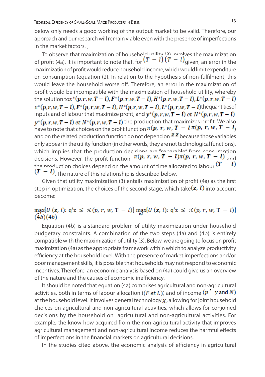below only needs a good working of the output market to be valid. Therefore, our approach and our research will remain viable even with the presence of imperfections in the market factors.

To observe that maximization of household utility  $(3)$  involves the maximization of profit (4a), it is important to note that, for  $\binom{r-1}{r}$ ,  $\binom{r-1}{r}$  given, an error in the maximization of profit would reduce household income, which would limit expenditure on consumption (equation (2). In relation to the hypothesis of non-fulfilment, this would leave the household worse off. Therefore, an error in the maximization of profit would be incompatible with the maximization of household utility, whereby the solution to  $x^*(p,r,w,T-l)$ ,  $F^*(p,r,w,T-l)$ ,  $H^*(p,r,w,T-l)$ ,  $L^*(p,r,w,T-l)$  $x^*(p,r,w,T-l)$ ,  $F^*(p,r,w,T-l)$ ,  $H^*(p,r,w,T-l)$ ,  $L^*(p,r,w,T-l)$ thequantities of inputs and of labour that maximize profit, and  $y^*(p,r,w,T-l)$  et  $N^*(p,r,w,T-l)$  $\mathbf{v}^*(\mathbf{p}, \mathbf{r}, w, \mathbf{T}-l)$  et  $N^*(\mathbf{p}, \mathbf{r}, w, \mathbf{T}-l)$  the production that maximizes profit. We also have to note that choices on the profit function  $\pi(p, r, w, T - l\pi(p, r, w, T - l))$ and on the related production function do not depend on  $z \overline{z}$  because those variables only appear in the utility function (in other words, they are not technological functions), which implies that the production decisions are "separable" from consumption decisions. However, the profit function  $\pi(\boldsymbol{p}, \boldsymbol{r}, w, \boldsymbol{T} - \boldsymbol{l}) \pi(\boldsymbol{p}, \boldsymbol{r}, w, \boldsymbol{T} - \boldsymbol{l})$  and the production choices depend on the amount of time allocated to labour  $(T - l)$  $(T - l)$ . The nature of this relationship is described below.

Given that utility maximization (3) entails maximization of profit (4a) as the first step in optimization, the choices of the second stage, which take  $(z, l)$  into account become:

#### $\max\{U(z, l): q'z \leq \pi(p, r, w, T - l)\}\max_{z \in I} \{U(z, l): q'z \leq \pi(p, r, w, T - l)\}\$  $(4b)(4b)$

Equation (4b) is a standard problem of utility maximization under household budgetary constraints. A combination of the two steps (4a) and (4b) is entirely compatible with the maximization of utility (3). Below, we are going to focus on profit maximization (4a) as the appropriate framework within which to analyze productivity efficiency at the household level. With the presence of market imperfections and/or poor management skills, it is possible that households may not respond to economic incentives. Therefore, an economic analysis based on (4a) could give us an overview of the nature and the causes of economic inefficiency.

It should be noted that equation (4a) comprises agricultural and non-agricultural activities, both in terms of labour allocation ((**F** et L)) and of income ( $p'$  y and N) at the household level. It involves general technology  $X$ , allowing for joint household choices on agricultural and non-agricultural activities, which allows for conjoined decisions by the household on agricultural and non-agricultural activities. For example, the know-how acquired from the non-agricultural activity that improves agricultural management and non-agricultural income reduces the harmful effects of imperfections in the financial markets on agricultural decisions.

In the studies cited above, the economic analysis of efficiency in agricultural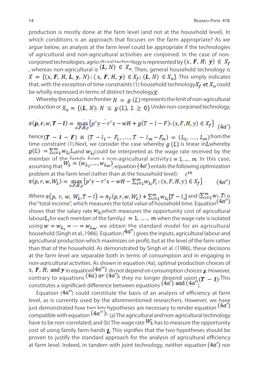production is mostly done at the farm level (and not at the household level). In which conditions is an approach that focuses on the farm appropriate? As we argue below, an analysis at the farm level could be appropriate if the technologies of agricultural and non-agricultural activities are conjoined. In the case of nonconjoined technologies, agricultural technology is represented by  $(x, F, H; y) \in X_f$ , whereas non-agricultural is  $(L, N) \in X_n$ . Then, general household technology is  $X = \{(x, F, H, L, y, N): (x, F, H, y) \in X_f; (L, N) \in X_n\}.$  This simply indicates that, with the exception of time constraints (1) household technology  $X_f$  et  $X_n$  could be wholly expressed in terms of distinct technology*.* 

Whereby the production frontier  $N = q(L)$  represents the limit of non-agricultural production or  $X_n = \{ (L, N): N \leq g(L), L \geq 0 \}$ . Under non-conjoined technology,

$$
\pi(\mathbf{p}, \mathbf{r}, w, \mathbf{T} - \mathbf{l}) = \max_{x, F, H, y} \{ p' y - r' x - w H + g (T - l - F) : (x, F, H, y) \in X_f \} \tag{4a'}
$$

hence  $(T - l - F) \equiv (T - l_1 - F_1, ..., T - l_m - F_m) = (L_1, ..., L_m)$  from the time constraint (1).Next, we consider the case whereby  $g\left(L\right)$  is linear in Lwhereby and  $w_{\textit{L}}$  could be interpreted as the wage rate received by the member of the family from a non-agricultural activity  $i = 1, ..., m$ . In this case, assuming that  $W_L = (W_{L_1},...,W_{L_m})$ , equation  $(4a')$  entails the following optimization problem at the farm level (rather than at the household level):  $i<sup>th</sup>$ 

 $\pi(p,r,w,W_L) = \max_{x,F,H,y} \{ p' y - r' x - w H - \sum_{i=1}^{m} w_{L_i} F_i : (x,F,H,y) \in X_f \}$  $(4a^n)$ 

Where  $\pi(p, r, w, W_L, T - l) = \pi_f(p, r, w, W_L) + \sum_{i=1}^m w_{Li} [T - l_i]$  and  $(\sum_{i=1}^m w_{Li} T)$  is the "total income", which measures the total value of household time. Equation shows that the salary rate  $w_{L_i}$ which measures the opportunity cost of agricultural labour  $L_i$  for each member of the family,  $i = 1, ..., m$  when the wage rate is isolated using  $w = w_{L_1} = \cdots = w_{L_{m'}}$  we obtain the standard model for an agricultural household (Singh et al., 1986). Equation  $(4a'')$  gives the inputs, agricultural labour and agricultural production which maximizes on profit, but at the level of the farm rather than that of the household. As demonstrated by Singh et al. (1986), these decisions at the farm level are separable both in terms of consumption and in engaging in non-agricultural activities. As shown in equation (4a), optimal production choices of  $x$ , **F**, H, and **y** in equation  $(4a'')$  do not depend on consumption choices z. However, contrary to equations  $\binom{4a}{1}$  or  $\binom{4a}{1}$  they no longer depend upon  $(T - 1)$ . This constitutes a significant difference between equations  $(4a)$  and  $(4a)$ .

Equation ( $4a''$ ) could constitute the basis of an analysis of efficiency at farm level, as is currently used by the aforementioned researchers. However, we have just demonstrated how two key hypotheses are necessary to render equation  $(4a')$ compatible with equation  $(4a'')$ : (a) The agricultural and non-agricultural technology have to be non-correlated; and (b) The wage rate  $W_L$  has to measure the opportunity cost of using family farm hands *. This signifies that the two hypotheses should be* proven to justify the standard approach for the analysis of agricultural efficiency at farm level. Indeed, in tandem with joint technology, neither equation  $(4a')$  nor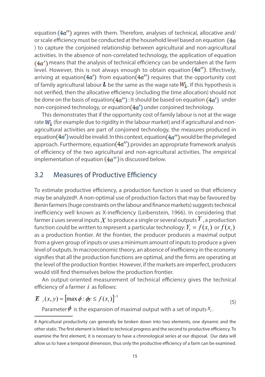equation  $(4a'')$  agrees with them. Therefore, analyses of technical, allocative and/ or scale efficiency must be conducted at the household level based on equation  $(4a -$ ) to capture the conjoined relationship between agricultural and non-agricultural activities. In the absence of non-correlated technology, the application of equation  $(4a')$  means that the analysis of technical efficiency can be undertaken at the farm level. However, this is not always enough to obtain equation  $(4a'')$ . Effectively, arriving at equation  $(4a')$  from equation  $(4a'')$  requires that the opportunity cost of family agricultural labour  $\boldsymbol{L}$  be the same as the wage rate  $W_{\boldsymbol{L}}$ . If this hypothesis is not verified, then the allocative efficiency (including the time allocation) should not be done on the basis of equation  $(4a'')$  : It should be based on equation  $(4a')$  under non-conjoined technology, or equation $(4a')$  under conjoined technology.

This demonstrates that if the opportunity cost of family labour is not at the wage rate  $W_L$  (for example due to rigidity in the labour market) and if agricultural and nonagricultural activities are part of conjoined technology, the measures produced in equation  $(4a')$  would be invalid. In this context, equation  $(4a'')$  would be the privileged approach. Furthermore, equation  $(4a'')$  provides an appropriate framework analysis of efficiency of the two agricultural and non-agricultural activities. The empirical implementation of equation  $(4a'')$  is discussed below.

### 3.2 Measures of Productive Efficiency

To estimate productive efficiency, a production function is used so that efficiency may be analyzed8. A non-optimal use of production factors that may be favoured by Benin farmers (huge constraints on the labour and finance markets) suggests technical inefficiency well known as X-inefficiency (Leibenstein, 1966). In considering that farmer *i* uses several inputs X to produce a single or several outputs  $Y$ , a production function could be written to represent a particular technology:  $Y_i = f(x_i)$  or  $f(x_i)$ as a production frontier. At the frontier, the producer produces a maximal output from a given group of inputs or uses a minimum amount of inputs to produce a given level of outputs. In macroeconomic theory, an absence of inefficiency in the economy signifies that all the production functions are optimal, and the firms are operating at the level of the production frontier. However, if the markets are imperfect, producers would still find themselves below the production frontier.

An output-oriented measurement of technical efficiency gives the technical efficiency of a farmer *i* as follows:

## $E_{i}(x, y) = [\max \phi : \phi y \le f(x_{i})]^{-1}$  (5)

Parameter  $\phi$  is the expansion of maximal output with a set of inputs  $x_i$ .

<sup>8</sup> Agricultural productivity can generally be broken down into two elements, one dynamic and the other static. The first element is linked to technical progress and the second to productive efficiency. To examine the first element, it is necessary to have a chronological series at our disposal. Our data will allow us to have a temporal dimension, thus only the productive efficiency of a farm can be examined.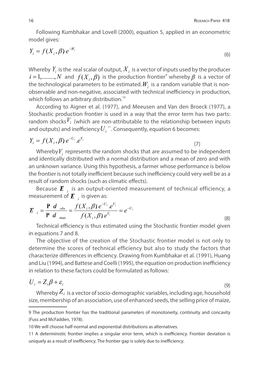Following Kumbhakar and Lovell (2000), equation 5, applied in an econometric model gives:

$$
Y_i = f(X_i, \beta) e^{-W_i}
$$
\n<sup>(6)</sup>

Whereby  $Y_i$  is the real scalar of output,  $X_i$  is a vector of inputs used by the producer  $i = 1, \ldots, N$  and  $f(X_i, \beta)$  is the production frontier $^{\circ}$  whereby  $\beta$  is a vector of the technological parameters to be estimated. $W_i$  is a random variable that is nonobservable and non-negative, associated with technical inefficiency in production, which follows an arbitrary distribution.<sup>10</sup>

According to Aigner et al. (1977), and Meeusen and Van den Broeck (1977), a Stochastic production frontier is used in a way that the error term has two parts: random shocks $V_i$  (which are non-attributable to the relationship between inputs and outputs) and inefficiency $U_i^{\scriptscriptstyle +1}$ . Consequently, equation 6 becomes:

$$
Y_i = f(X_i, \beta) e^{-U_i} . e^{V_i}
$$
\n
$$
(7)
$$

Whereby $V_i$  represents the random shocks that are assumed to be independent and identically distributed with a normal distribution and a mean of zero and with an unknown variance. Using this hypothesis, a farmer whose performance is below the frontier is not totally inefficient because such inefficiency could very well be as a result of random shocks (such as climatic effects).

Because  $E$ , is an output-oriented measurement of technical efficiency, a measurement of  $E$ , is given as:

$$
E_{i} = \frac{\mathbf{P} \ d_{obs}}{\mathbf{P} \ d_{max}} = \frac{f(X_{i}, \beta) e^{-U_{i}} e^{V_{i}}}{f(X_{i}, \beta) e^{V_{i}}} = e^{-U_{i}}
$$
\n(8)

Technical efficiency is thus estimated using the Stochastic frontier model given in equations 7 and 8.

The objective of the creation of the Stochastic frontier model is not only to determine the scores of technical efficiency but also to study the factors that characterize differences in efficiency. Drawing from Kumbhakar et al. (1991), Huang and Liu (1994), and Battese and Coelli (1995), the equation on production inefficiency in relation to these factors could be formulated as follows:

$$
U_i = Z_i \beta + \varepsilon_i \tag{9}
$$

Whereby  $Z_i$  is a vector of socio-demographic variables, including age, household size, membership of an association, use of enhanced seeds, the selling price of maize,

<sup>9</sup> The production frontier has the traditional parameters of monotoneity, continuity and concavity (Fuss and McFadden, 1978).

<sup>10</sup> We will choose half-normal and exponential distributions as alternatives.

<sup>11</sup> A deterministic frontier implies a singular error term, which is inefficiency. Frontier deviation is uniquely as a result of inefficiency. The frontier gap is solely due to inefficiency.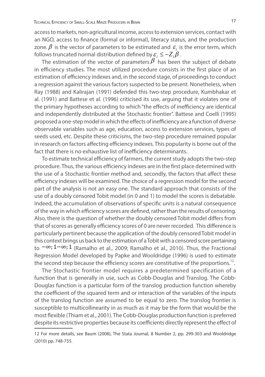access to markets, non-agricultural income, access to extension services, contact with an NGO, access to finance (formal or informal), literacy status, and the production zone.  $\beta$  is the vector of parameters to be estimated and  $\varepsilon$ , is the error term, which follows truncated normal distribution defined by  $\varepsilon_i \leq -Z_i\beta$ .

The estimation of the vector of parameters  $\beta$  has been the subject of debate in efficiency studies. The most utilized procedure consists in the first place of an estimation of efficiency indexes and, in the second stage, of proceedings to conduct a regression against the various factors suspected to be present. Nonetheless, when Ray (1988) and Kalirajan (1991) defended this two-step procedure, Kumbhakar et al. (1991) and Battese et al. (1996) criticised its use, arguing that it violates one of the primary hypotheses according to which "the effects of inefficiency are identical and independently distributed at the Stochastic frontier". Battese and Coelli (1995) proposed a one-step model in which the effects of inefficiency are a function of diverse observable variables such as age, education, access to extension services, types of seeds used, etc. Despite these criticisms, the two-step procedure remained popular in research on factors affecting efficiency indexes. This popularity is borne out of the fact that there is no exhaustive list of inefficiency determinants.

To estimate technical efficiency of farmers, the current study adopts the two-step procedure. Thus, the various efficiency indexes are in the first place determined with the use of a Stochastic frontier method and, secondly, the factors that affect these efficiency indexes will be examined. The choice of a regression model for the second part of the analysis is not an easy one. The standard approach that consists of the use of a doubly censored Tobit model (in 0 and 1) to model the scores is debatable. Indeed, the accumulation of observations of specific units is a natural consequence of the way in which efficiency scores are defined, rather than the results of censoring. Also, there is the question of whether the doubly censored Tobit model differs from that of scores as generally efficiency scores of 0 are never recorded. This difference is particularly pertinent because the application of the doubly censored Tobit model in this context brings us back to the estimation of a Tobit with a censored score pertaining to  $-\infty$ ;  $1-\infty$ ; 1 (Ramalho et al., 2009; Ramalho et al., 2010). Thus, the Fractional Regression Model developed by Papke and Wooldridge (1996) is used to estimate the second step because the efficiency scores are constitutive of the proportions.<sup>12</sup>.

The Stochastic frontier model requires a predetermined specification of a function that is generally in use, such as Cobb-Douglas and Translog. The Cobb-Douglas function is a particular form of the translog production function whereby the coefficient of the squared term and or interaction of the variables of the inputs of the translog function are assumed to be equal to zero. The translog frontier is susceptible to multicollinearity in as much as it may be the form that would be the most flexible (Thiam et al., 2001). The Cobb-Douglas production function is preferred despite its restrictive properties because its coefficients directly represent the effect of

<sup>12</sup> For more details, see Baum (2008), The Stata Journal, 8 Number 2, pp. 299-303 and Wooldridge (2010) pp. 748-755.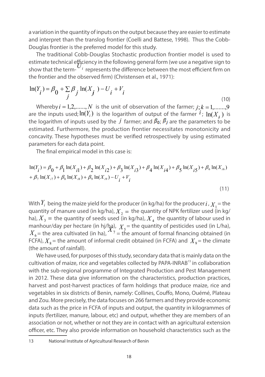a variation in the quantity of inputs on the output because they are easier to estimate and interpret than the translog frontier (Coelli and Battese, 1998). Thus the Cobb-Douglas frontier is the preferred model for this study.

The traditional Cobb-Douglas Stochastic production frontier model is used to estimate technical efficiency in the following general form (we use a negative sign to show that the term-*Ui* represents the difference between the most efficient firm on the frontier and the observed firm) (Christensen et al., 1971):

$$
\ln(Y_i) = \beta_0 + \sum_j \beta_j \ln(X_j) - U_i + V_i
$$
\n(10)

Whereby  $i = 1, 2, \ldots, N$  is the unit of observation of the farmer;  $j$ ;  $k = 1, \ldots, 9$ are the inputs used;  $\ln(Y_i)$  is the logarithm of output of the farmer  $i$ ;  $\ln(X_i)$  is the logarithm of inputs used by the *j* farmer; and  $\beta_0$ ;  $\beta_j$  are the parameters to be estimated. Furthermore, the production frontier necessitates monotonicity and concavity. These hypotheses must be verified retrospectively by using estimated parameters for each data point.

The final empirical model in this case is:

$$
\ln(Y_i) = \beta_0 + \beta_1 \ln(X_{i1}) + \beta_2 \ln(X_{i2}) + \beta_3 \ln(X_{i3}) + \beta_4 \ln(X_{i4}) + \beta_5 \ln(X_{i5}) + \beta_6 \ln(X_{i6})
$$
  
+  $\beta_7 \ln(X_{i7}) + \beta_8 \ln(X_{i8}) + \beta_9 \ln(X_{i9}) - U_i + V_i$  (11)

With  $Y_i$  being the maize yield for the producer (in kg/ha) for the producer  $i$  ,  $X_1$  = the quantity of manure used (in kg/ha),  $X<sub>2</sub> =$  the quantity of NPK fertilizer used (in kg/ ha),  $X_3$  = the quantity of seeds used (in kg/ha),  $X_4$  the quantity of labour used in manhour/day per hectare (in hj/ha),  $X_5$  = the quantity of pesticides used (in L/ha),  $X_6$  = the area cultivated (in ha),  $X_7$  = the amount of formal financing obtained (in FCFA),  $X_8$  = the amount of informal credit obtained (in FCFA) and  $X_9$  = the climate (the amount of rainfall).

We have used, for purposes of this study, secondary data that is mainly data on the cultivation of maize, rice and vegetables collected by PAPA-INRAB<sup>13</sup> in collaboration with the sub-regional programme of Integrated Production and Pest Management in 2012. These data give information on the characteristics, production practices, harvest and post-harvest practices of farm holdings that produce maize, rice and vegetables in six districts of Benin, namely: Collines, Couffo, Mono, Ouémé, Plateau and Zou. More precisely, the data focuses on 266 farmers and they provide economic data such as the price in FCFA of inputs and output, the quantity in kilogrammes of inputs (fertilizer, manure, labour, etc) and output, whether they are members of an association or not, whether or not they are in contact with an agricultural extension officer, etc. They also provide information on household characteristics such as the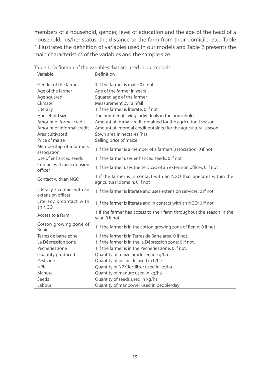members of a household, gender, level of education and the age of the head of a household, his/her status, the distance to the farm from their domicile, etc. Table 1 illustrates the definition of variables used in our models and Table 2 presents the main characteristics of the variables and the sample size.

| Variable                                        | Definition                                                                                          |
|-------------------------------------------------|-----------------------------------------------------------------------------------------------------|
| Gender of the farmer                            | 1 if the farmer is male; 0 if not                                                                   |
| Age of the farmer                               | Age of the farmer in years                                                                          |
| Age squared                                     | Squared age of the farmer                                                                           |
| Climate                                         | Measurement by rainfall                                                                             |
| Literacy                                        | 1 if the farmer is literate; 0 if not                                                               |
| Household size                                  | The number of living individuals in the household                                                   |
| Amount of formal credit                         | Amount of formal credit obtained for the agricultural season                                        |
| Amount of informal credit                       | Amount of informal credit obtained for the agricultural season                                      |
| Area cultivated                                 | Sown area in hectares (ha)                                                                          |
| Price of maize                                  | Selling price of maize                                                                              |
| Membership of a farmers'<br>association         | 1 if the farmer is a member of a farmers' association; 0 if not                                     |
| Use of enhanced seeds                           | 1 if the farmer uses enhanced seeds; 0 if not                                                       |
| Contact with an extension<br>officer            | 1 if the farmer uses the services of an extension officer, 0 if not                                 |
| Contact with an NGO                             | 1 if the farmer is in contact with an NGO that operates within the<br>agricultural domain; 0 if not |
| Literacy x contact with an<br>extension officer | 1 if the farmer is literate and uses extension services; 0 if not                                   |
| Literacy x contact with<br>an NGO               | 1 if the farmer is literate and in contact with an NGO; 0 if not                                    |
| Access to a farm                                | 1 if the farmer has access to their farm throughout the season in the<br>year; 0 if not             |
| Cotton growing zone of<br><b>Benin</b>          | 1 if the farmer is in the cotton growing zone of Benin; 0 if not                                    |
| Terres de barre zone                            | 1 if the farmer is in Terres de Barre area; 0 if not.                                               |
| La Dépression zone                              | 1 if the farmer is in the la Dépression zone; 0 if not.                                             |
| Pêcheries zone                                  | 1 if the farmer is in the Pêcheries zone, 0 if not.                                                 |
| Quantity produced                               | Quantity of maize produced in kg/ha                                                                 |
| Pesticide                                       | Quantity of pesticide used in L/ha                                                                  |
| <b>NPK</b>                                      | Quantity of NPK fertilizer used in kg/ha                                                            |
| Manure                                          | Quantity of manure used in kg/ha                                                                    |
| Seeds                                           | Quantity of seeds used in kg/ha                                                                     |
| Labour                                          | Quantity of manpower used in people/day                                                             |

Table 1: Definition of the variables that are used in our models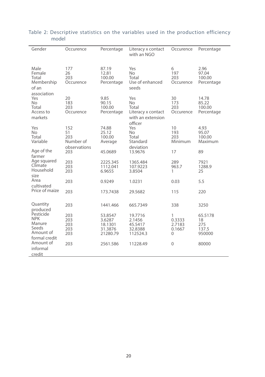| Gender                     | Occurence    | Percentage           | Literacy x contact<br>with an NGO | Occurence    | Percentage      |
|----------------------------|--------------|----------------------|-----------------------------------|--------------|-----------------|
|                            |              |                      |                                   |              |                 |
| Male<br>Female             | 177<br>26    | 87.19<br>12.81       | Yes<br>No.                        | 6<br>197     | 2.96<br>97.04   |
| Total                      | 203          | 100.00               | Total                             | 203          | 100.00          |
| Membership                 | Occurence    | Percentage           | Use of enhanced                   | Occurence    | Percentage      |
| of an                      |              |                      | seeds                             |              |                 |
| association                |              |                      |                                   |              |                 |
| Yes<br><b>No</b>           | 20<br>183    | 9.85<br>90.15        | Yes<br>No.                        | 30<br>173    | 14.78<br>85.22  |
| Total                      | 203          | 100.00               | Total                             | 203          | 100.00          |
| Access to                  | Occurence    | Percentage           | Literacy x contact                | Occurence    | Percentage      |
| markets                    |              |                      | with an extension                 |              |                 |
|                            |              |                      | officer                           |              |                 |
| Yes                        | 152          | 74.88                | Yes                               | 10           | 4.93            |
| <b>No</b><br>Total         | 51<br>203    | 25.12<br>100.00      | No<br>Total                       | 193<br>203   | 95.07<br>100.00 |
| Variable                   | Number of    | Average              | Standard                          | Minimum      | Maximum         |
|                            | observations |                      | deviation                         |              |                 |
| Age of the                 | 203          | 45.0689              | 13.9676                           | 17           | 89              |
| farmer                     |              |                      |                                   |              |                 |
| Age squared<br>Climate     | 203<br>203   | 2225.345<br>1112.041 | 1365.484<br>107.9223              | 289<br>963.7 | 7921<br>1288.9  |
| Household                  | 203          | 6.9655               | 3.8504                            | 1            | 25              |
| size                       |              |                      |                                   |              |                 |
| Area                       | 203          | 0.9249               | 1.0231                            | 0.03         | 5.5             |
| cultivated                 |              |                      |                                   |              |                 |
| Price of maize             | 203          | 173.7438             | 29.5682                           | 115          | 220             |
| Quantity                   | 203          | 1441.466             | 665.7349                          | 338          | 3250            |
| produced<br>Pesticide      |              |                      |                                   |              |                 |
| <b>NPK</b>                 | 203<br>203   | 53.8547<br>3.6287    | 19.7716<br>2.1456                 | 1<br>0.3333  | 65.5178<br>18   |
| Manure                     | 203          | 18.1301              | 45.5417                           | 2.7183       | 275             |
| Seeds                      | 203          | 31.3876              | 32.8388                           | 0.1667       | 137.5           |
| Amount of<br>formal credit | 203          | 21280.79             | 112524.3                          | 0            | 950000          |
| Amount of                  | 203          | 2561.586             | 11228.49                          | $\mathbf 0$  | 80000           |
| informal                   |              |                      |                                   |              |                 |
| credit                     |              |                      |                                   |              |                 |

#### Table 2: Descriptive statistics on the variables used in the production efficiency model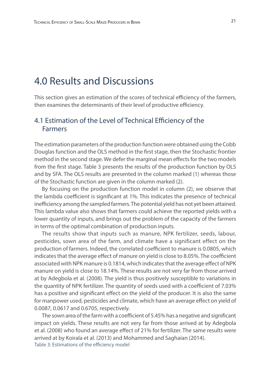### 4.0 Results and Discussions

This section gives an estimation of the scores of technical efficiency of the farmers, then examines the determinants of their level of productive efficiency.

### 4.1 Estimation of the Level of Technical Efficiency of the Farmers

The estimation parameters of the production function were obtained using the Cobb Douglas function and the OLS method in the first stage, then the Stochastic frontier method in the second stage. We defer the marginal mean effects for the two models from the first stage. Table 3 presents the results of the production function by OLS and by SFA. The OLS results are presented in the column marked (1) whereas those of the Stochastic function are given in the column marked (2).

By focusing on the production function model in column (2), we observe that the lambda coefficient is significant at 1%. This indicates the presence of technical inefficiency among the sampled farmers. The potential yield has not yet been attained. This lambda value also shows that farmers could achieve the reported yields with a lower quantity of inputs, and brings out the problem of the capacity of the farmers in terms of the optimal combination of production inputs.

The results show that inputs such as manure, NPK fertilizer, seeds, labour, pesticides, sown area of the farm, and climate have a significant effect on the production of farmers. Indeed, the correlated coefficient to manure is 0.0805, which indicates that the average effect of manure on yield is close to 8.05%. The coefficient associated with NPK manure is 0.1814, which indicates that the average effect of NPK manure on yield is close to 18.14%. These results are not very far from those arrived at by Adegbola et al. (2008). The yield is thus positively susceptible to variations in the quantity of NPK fertilizer. The quantity of seeds used with a coefficient of 7.03% has a positive and significant effect on the yield of the producer. It is also the same for manpower used, pesticides and climate, which have an average effect on yield of 0.0087, 0.0617 and 0.6705, respectively.

The sown area of the farm with a coefficient of 5.45% has a negative and significant impact on yields. These results are not very far from those arrived at by Adegbola et al. (2008) who found an average effect of 21% for fertilizer. The same results were arrived at by Koirala et al. (2013) and Mohammed and Saghaian (2014). Table 3: Estimations of the efficiency model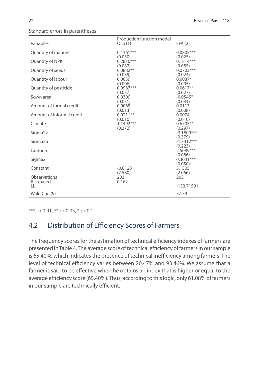| Variables                 | Production function model<br>OLS (1) | <b>SFA (2)</b>          |
|---------------------------|--------------------------------------|-------------------------|
| Quantity of manure        | $0.1161***$                          | $0.0805***$             |
| Quantity of NPK           | (0.030)<br>$0.2810***$               | (0.025)<br>$0.1814***$  |
| Quantity of seeds         | (0.082)<br>$0.0882**$                | (0.055)<br>$0.0703***$  |
| Quantity of labour        | (0.039)<br>0.0039                    | (0.024)<br>$0.0087*$    |
| Quantity of pesticide     | (0.006)<br>$0.0987***$               | (0.005)<br>$0.0617**$   |
| Sown area                 | (0.037)<br>0.0309                    | (0.027)<br>$-0.0545*$   |
| Amount of formal credit   | (0.031)<br>0.0065                    | (0.031)<br>0.0117       |
| Amount of informal credit | (0.013)<br>$0.0211**$                | (0.008)<br>0.0074       |
| Climate                   | (0.010)<br>$1.1492***$               | (0.010)<br>$0.6705**$   |
| Sigma2v                   | (0.372)                              | (0.297)<br>$-3.1809***$ |
| Sigma2u                   |                                      | (0.379)<br>$-1.3412***$ |
| Lambda                    |                                      | (0.223)<br>2.5089***    |
| Sigma <sub>2</sub>        |                                      | (0.086)<br>$0.3031***$  |
| Constant                  | $-0.8128$                            | (0.050)<br>3.1505       |
| Observations<br>R-squared | (2.580)<br>203<br>0.162              | (2.066)<br>203          |
| LL                        |                                      | -133.71591              |
| Wald Chi2(9)              |                                      | 37.79                   |
|                           |                                      |                         |

\*\*\* p<0.01, \*\* p<0.05, \* p<0.1

### 4.2 Distribution of Efficiency Scores of Farmers

The frequency scores for the estimation of technical efficiency indexes of farmers are presented in Table 4. The average score of technical efficiency of farmers in our sample is 65.40%, which indicates the presence of technical inefficiency among farmers. The level of technical efficiency varies between 20.47% and 93.46%. We assume that a farmer is said to be effective when he obtains an index that is higher or equal to the average efficiency score (65.40%). Thus, according to this logic, only 61.08% of farmers in our sample are technically efficient.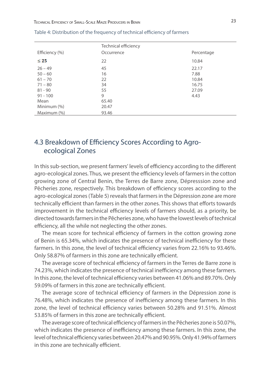|                | Technical efficiency |            |
|----------------|----------------------|------------|
| Efficiency (%) | Occurrence           | Percentage |
| $\leq 25$      | 22                   | 10.84      |
| $26 - 49$      | 45                   | 22.17      |
| $50 - 60$      | 16                   | 7.88       |
| $61 - 70$      | 22                   | 10.84      |
| $71 - 80$      | 34                   | 16.75      |
| $81 - 90$      | 55                   | 27.09      |
| $91 - 100$     | 9                    | 4.43       |
| Mean           | 65.40                |            |
| Minimum $(\%)$ | 20.47                |            |
| Maximum (%)    | 93.46                |            |

| Table 4: Distribution of the frequency of technical efficiency of farmers |  |  |  |  |  |
|---------------------------------------------------------------------------|--|--|--|--|--|
|---------------------------------------------------------------------------|--|--|--|--|--|

#### 4.3 Breakdown of Efficiency Scores According to Agro ecological Zones

In this sub-section, we present farmers' levels of efficiency according to the different agro-ecological zones. Thus, we present the efficiency levels of farmers in the cotton growing zone of Central Benin, the Terres de Barre zone, Dépresssion zone and Pêcheries zone, respectively. This breakdown of efficiency scores according to the agro-ecological zones (Table 5) reveals that farmers in the Dépression zone are more technically efficient than farmers in the other zones. This shows that efforts towards improvement in the technical efficiency levels of farmers should, as a priority, be directed towards farmers in the Pêcheries zone, who have the lowest levels of technical efficiency, all the while not neglecting the other zones.

The mean score for technical efficiency of farmers in the cotton growing zone of Benin is 65.34%, which indicates the presence of technical inefficiency for these farmers. In this zone, the level of technical efficiency varies from 22.16% to 93.46%. Only 58.87% of farmers in this zone are technically efficient.

The average score of technical efficiency of farmers in the Terres de Barre zone is 74.23%, which indicates the presence of technical inefficiency among these farmers. In this zone, the level of technical efficiency varies between 41.06% and 89.70%. Only 59.09% of farmers in this zone are technically efficient.

The average score of technical efficiency of farmers in the Dépression zone is 76.48%, which indicates the presence of inefficiency among these farmers. In this zone, the level of technical efficiency varies between 50.28% and 91.51%. Almost 53.85% of farmers in this zone are technically efficient.

The average score of technical efficiency of farmers in the Pêcheries zone is 50.07%, which indicates the presence of inefficiency among these farmers. In this zone, the level of technical efficiency varies between 20.47% and 90.95%. Only 41.94% of farmers in this zone are technically efficient.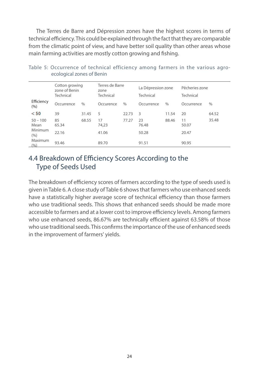The Terres de Barre and Dépression zones have the highest scores in terms of technical efficiency. This could be explained through the fact that they are comparable from the climatic point of view, and have better soil quality than other areas whose main farming activities are mostly cotton growing and fishing.

|                                              | Cotton growing<br>zone of Benin<br>Technical |               | Terres de Barre<br>zone<br>Technical |       | La Dépression zone<br>Technical |       | Pêcheries zone<br>Technical |       |
|----------------------------------------------|----------------------------------------------|---------------|--------------------------------------|-------|---------------------------------|-------|-----------------------------|-------|
| Efficiency<br>(%)                            | Occurrence                                   | $\frac{0}{0}$ | Occurence                            | $\%$  | Occurrence                      | $\%$  | Occurrence                  | $\%$  |
| < 50                                         | 39                                           | 31.45         | 5                                    | 22.73 | 3                               | 11.54 | 20                          | 64.52 |
| $50 - 100$<br>Mean<br>Minimum                | 85<br>65.34<br>22.16                         | 68.55         | 17<br>74,23<br>41.06                 | 77.27 | 23<br>76.48<br>50.28            | 88.46 | 11<br>50.07<br>20.47        | 35.48 |
| (%)<br>Maximum<br>$\left(\frac{0}{0}\right)$ | 93.46                                        |               | 89.70                                |       | 91.51                           |       | 90.95                       |       |

#### Table 5: Occurrence of technical efficiency among farmers in the various agroecological zones of Benin

### 4.4 Breakdown of Efficiency Scores According to the Type of Seeds Used

The breakdown of efficiency scores of farmers according to the type of seeds used is given in Table 6. A close study of Table 6 shows that farmers who use enhanced seeds have a statistically higher average score of technical efficiency than those farmers who use traditional seeds. This shows that enhanced seeds should be made more accessible to farmers and at a lower cost to improve efficiency levels. Among farmers who use enhanced seeds, 86.67% are technically efficient against 63.58% of those who use traditional seeds. This confirms the importance of the use of enhanced seeds in the improvement of farmers' yields.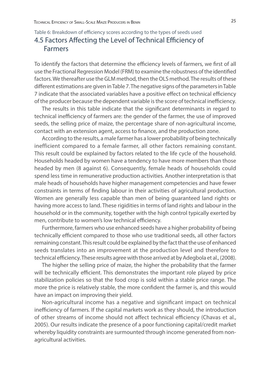#### Table 6: Breakdown of efficiency scores according to the types of seeds used 4.5 Factors Affecting the Level of Technical Efficiency of Farmers

To identify the factors that determine the efficiency levels of farmers, we first of all use the Fractional Regression Model (FRM) to examine the robustness of the identified factors. We thereafter use the GLM method, then the OLS method. The results of these different estimations are given in Table 7. The negative signs of the parameters in Table 7 indicate that the associated variables have a positive effect on technical efficiency of the producer because the dependent variable is the score of technical inefficiency.

The results in this table indicate that the significant determinants in regard to technical inefficiency of farmers are: the gender of the farmer, the use of improved seeds, the selling price of maize, the percentage share of non-agricultural income, contact with an extension agent, access to finance, and the production zone.

According to the results, a male farmer has a lower probability of being technically inefficient compared to a female farmer, all other factors remaining constant. This result could be explained by factors related to the life cycle of the household. Households headed by women have a tendency to have more members than those headed by men (8 against 6). Consequently, female heads of households could spend less time in remunerative production activities. Another interpretation is that male heads of households have higher management competencies and have fewer constraints in terms of finding labour in their activities of agricultural production. Women are generally less capable than men of being guaranteed land rights or having more access to land. These rigidities in terms of land rights and labour in the household or in the community, together with the high control typically exerted by men, contribute to women's low technical efficiency.

Furthermore, farmers who use enhanced seeds have a higher probability of being technically efficient compared to those who use traditional seeds, all other factors remaining constant. This result could be explained by the fact that the use of enhanced seeds translates into an improvement at the production level and therefore to technical efficiency. These results agree with those arrived at by Adegbola et al., (2008).

The higher the selling price of maize, the higher the probability that the farmer will be technically efficient. This demonstrates the important role played by price stabilization policies so that the food crop is sold within a stable price range. The more the price is relatively stable, the more confident the farmer is, and this would have an impact on improving their yield.

Non-agricultural income has a negative and significant impact on technical inefficiency of farmers. If the capital markets work as they should, the introduction of other streams of income should not affect technical efficiency (Chavas et al., 2005). Our results indicate the presence of a poor functioning capital/credit market whereby liquidity constraints are surmounted through income generated from nonagricultural activities.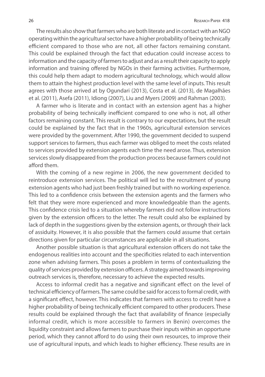The results also show that farmers who are both literate and in contact with an NGO operating within the agricultural sector have a higher probability of being technically efficient compared to those who are not, all other factors remaining constant. This could be explained through the fact that education could increase access to information and the capacity of farmers to adjust and as a result their capacity to apply information and training offered by NGOs in their farming activities. Furthermore, this could help them adapt to modern agricultural technology, which would allow them to attain the highest production level with the same level of inputs. This result agrees with those arrived at by Ogundari (2013), Costa et al. (2013), de Magalhães

A farmer who is literate and in contact with an extension agent has a higher probability of being technically inefficient compared to one who is not, all other factors remaining constant. This result is contrary to our expectations, but the result could be explained by the fact that in the 1960s, agricultural extension services were provided by the government. After 1990, the government decided to suspend support services to farmers, thus each farmer was obliged to meet the costs related to services provided by extension agents each time the need arose. Thus, extension services slowly disappeared from the production process because farmers could not afford them.

et al. (2011), Asefa (2011), Idiong (2007), Liu and Myers (2009) and Rahman (2003).

With the coming of a new regime in 2006, the new government decided to reintroduce extension services. The political will led to the recruitment of young extension agents who had just been freshly trained but with no working experience. This led to a confidence crisis between the extension agents and the farmers who felt that they were more experienced and more knowledgeable than the agents. This confidence crisis led to a situation whereby farmers did not follow instructions given by the extension officers to the letter. The result could also be explained by lack of depth in the suggestions given by the extension agents, or through their lack of assiduity. However, it is also possible that the farmers could assume that certain directions given for particular circumstances are applicable in all situations.

Another possible situation is that agricultural extension officers do not take the endogenous realities into account and the specificities related to each intervention zone when advising farmers. This poses a problem in terms of contextualizing the quality of services provided by extension officers. A strategy aimed towards improving outreach services is, therefore, necessary to achieve the expected results.

Access to informal credit has a negative and significant effect on the level of technical efficiency of farmers. The same could be said for access to formal credit, with a significant effect, however. This indicates that farmers with access to credit have a higher probability of being technically efficient compared to other producers. These results could be explained through the fact that availability of finance (especially informal credit, which is more accessible to farmers in Benin) overcomes the liquidity constraint and allows farmers to purchase their inputs within an opportune period, which they cannot afford to do using their own resources, to improve their use of agricultural inputs, and which leads to higher efficiency. These results are in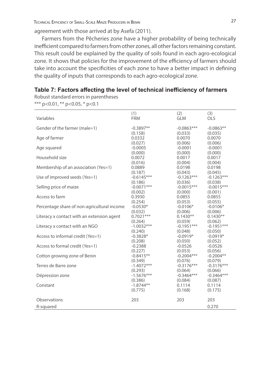agreement with those arrived at by Asefa (2011).

Farmers from the Pêcheries zone have a higher probability of being technically inefficient compared to farmers from other zones, all other factors remaining constant. This result could be explained by the quality of soils found in each agro-ecological zone. It shows that policies for the improvement of the efficiency of farmers should take into account the specificities of each zone to have a better impact in defining the quality of inputs that corresponds to each agro-ecological zone.

| Variables                                   | (1)           | (2)          | (3)          |
|---------------------------------------------|---------------|--------------|--------------|
|                                             | <b>FRM</b>    | <b>GLM</b>   | <b>OLS</b>   |
| Gender of the farmer (male=1)               | $-0.3897**$   | $-0.0863***$ | $-0.0863**$  |
|                                             | (0.158)       | (0.033)      | (0.035)      |
| Age of farmer                               | 0.0332        | 0.0070       | 0.0070       |
| Age squared                                 | (0.027)       | (0.006)      | (0.006)      |
|                                             | $-0.0005$     | $-0.0001$    | $-0.0001$    |
| Household size                              | (0.000)       | (0.000)      | (0.000)      |
|                                             | 0.0072        | 0.0017       | 0.0017       |
| Membership of an association (Yes=1)        | (0.016)       | (0.004)      | (0.004)      |
|                                             | 0.0889        | 0.0198       | 0.0198       |
| Use of improved seeds (Yes=1)               | (0.187)       | (0.043)      | (0.045)      |
|                                             | $-0.6145***$  | $-0.1263***$ | $-0.1263***$ |
| Selling price of maize                      | (0.186)       | (0.036)      | (0.038)      |
|                                             | $-0.0071$ *** | $-0.0015***$ | $-0.0015***$ |
| Access to farm                              | (0.002)       | (0.000)      | (0.001)      |
|                                             | 0.3930        | 0.0855       | 0.0855       |
| Percentage share of non-agricultural income | (0.254)       | (0.053)      | (0.055)      |
|                                             | $-0.0530*$    | $-0.0106*$   | $-0.0106*$   |
| Literacy x contact with an extension agent  | (0.032)       | (0.006)      | (0.006)      |
|                                             | $0.7021***$   | $0.1430**$   | $0.1430**$   |
| Literacy x contact with an NGO              | (0.264)       | (0.059)      | (0.062)      |
|                                             | $-1.0032***$  | $-0.1951***$ | $-0.1951***$ |
| Access to informal credit (Yes=1)           | (0.240)       | (0.048)      | (0.050)      |
|                                             | $-0.3828*$    | $-0.0919*$   | $-0.0919*$   |
| Access to formal credit (Yes=1)             | (0.208)       | (0.050)      | (0.052)      |
|                                             | $-0.2388$     | $-0.0526$    | $-0.0526$    |
| Cotton growing zone of Benin                | (0.227)       | (0.053)      | (0.056)      |
|                                             | $-0.8415**$   | $-0.2004***$ | $-0.2004**$  |
| Terres de Barre zone                        | (0.349)       | (0.076)      | (0.079)      |
|                                             | $-1.4072***$  | $-0.3176***$ | $-0.3176***$ |
| Dépression zone                             | (0.293)       | (0.064)      | (0.066)      |
|                                             | $-1.5676***$  | $-0.3464***$ | $-0.3464***$ |
| Constant                                    | (0.386)       | (0.084)      | (0.087)      |
|                                             | $-1.8744**$   | 0.1114       | 0.1114       |
|                                             | (0.775)       | (0.168)      | (0.175)      |
| Observations                                | 203           | 203          | 203          |
| R-squared                                   |               |              | 0.270        |

#### **Table 7: Factors affecting the level of technical inefficiency of farmers**

Robust standard errors in parentheses \*\*\* p<0.01, \*\* p<0.05, \* p<0.1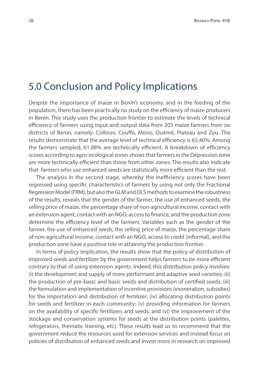## 5.0 Conclusion and Policy Implications

Despite the importance of maize in Benin's economy, and in the feeding of the population, there has been practically no study on the efficiency of maize producers in Benin. This study uses the production frontier to estimate the levels of technical efficiency of farmers using input and output data from 203 maize farmers from six districts of Benin, namely: Collines, Couffo, Mono, Ouémé, Plateau and Zou. The results demonstrate that the average level of technical efficiency is 65.40%. Among the farmers sampled, 61.08% are technically efficient. A breakdown of efficiency scores according to agro-ecological zones shows that farmers in the Dépression zone are more technically efficient than those from other zones. The results also indicate that farmers who use enhanced seeds are statistically more efficient than the rest.

The analysis in the second stage, whereby the inefficiency scores have been regressed using specific characteristics of farmers by using not only the Fractional Regression Model (FRM), but also the GLM and OLS methods to examine the robustness of the results, reveals that the gender of the farmer, the use of enhanced seeds, the selling price of maize, the percentage share of non-agricultural income, contact with an extension agent, contact with an NGO, access to finance, and the production zone determine the efficiency level of the farmers. Variables such as the gender of the farmer, the use of enhanced seeds, the selling price of maize, the percentage share of non-agricultural income, contact with an NGO, access to credit (informal), and the production zone have a positive role in attaining the production frontier.

In terms of policy implication, the results show that the policy of distribution of improved seeds and fertilizer by the government helps farmers to be more efficient contrary to that of using extension agents. Indeed, this distribution policy involves: (i) the development and supply of more performant and adaptive seed varieties; (ii) the production of pre-basic and basic seeds and distribution of certified seeds; (iii) the formulation and implementation of incentive provisions (exoneration, subsidies) for the importation and distribution of fertilizer; (iv) allocating distribution points for seeds and fertilizer in each community; (v) providing information for farmers on the availability of specific fertilizers and seeds; and (vi) the improvement of the stockage and conservation systems for seeds at the distribution points (palettes, refrigerators, thematic training, etc). These results lead us to recommend that the government reduce the resources used for extension services and instead focus on policies of distribution of enhanced seeds and invest more in research on improved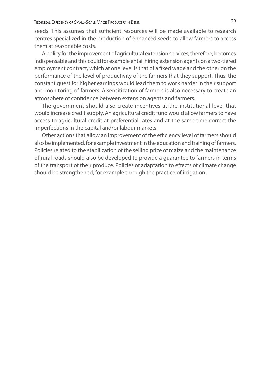seeds. This assumes that sufficient resources will be made available to research centres specialized in the production of enhanced seeds to allow farmers to access them at reasonable costs.

A policy for the improvement of agricultural extension services, therefore, becomes indispensable and this could for example entail hiring extension agents on a two-tiered employment contract, which at one level is that of a fixed wage and the other on the performance of the level of productivity of the farmers that they support. Thus, the constant quest for higher earnings would lead them to work harder in their support and monitoring of farmers. A sensitization of farmers is also necessary to create an atmosphere of confidence between extension agents and farmers.

The government should also create incentives at the institutional level that would increase credit supply. An agricultural credit fund would allow farmers to have access to agricultural credit at preferential rates and at the same time correct the imperfections in the capital and/or labour markets.

Other actions that allow an improvement of the efficiency level of farmers should also be implemented, for example investment in the education and training of farmers. Policies related to the stabilization of the selling price of maize and the maintenance of rural roads should also be developed to provide a guarantee to farmers in terms of the transport of their produce. Policies of adaptation to effects of climate change should be strengthened, for example through the practice of irrigation.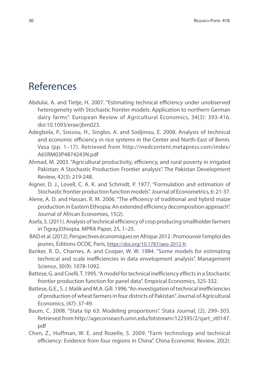## References

- Abdulai, A. and Tietje, H. 2007. "Estimating technical efficiency under unobserved heterogeneity with Stochastic frontier models: Application to northern German dairy farms". European Review of Agricultural Economics, 34(3): 393-416. doi:10.1093/erae/jbm023.
- Adegbola, P., Sossou, H., Singbo, A. and Sodjinou, E. 2008. Analysis of technical and economic efficiency in rice systems in the Center and North-East of Benin. Vasa (pp. 1–17). Retrieved from http://medcontent.metapress.com/index/ A65RM03P4874243N.pdf
- Ahmad, M. 2003. "Agricultural productivity, efficiency, and rural poverty in irrigated Pakistan: A Stochastic Production Frontier analysis". The Pakistan Development Review, 42(3): 219-248.
- Aigner, D. J., Lovell, C. A. K. and Schmidt, P. 1977. "Formulation and estimation of Stochastic frontier production function models". Journal of Econometrics, 6: 21-37.
- Alene, A. D. and Hassan, R. M. 2006. "The efficiency of traditional and hybrid maize production in Eastern Ethiopia: An extended efficiency decomposition approach". Journal of African Economies, 15(2).
- Asefa, S. (2011). Analysis of technical efficiency of crop producing smallholder farmers in Tigray,Ethiopia. MPRA Paper, 25, 1–25.
- BAD et al. (2012), Perspectives économiques en Afrique 2012 : Promouvoir l'emploi des jeunes, Éditions OCDE, Paris, https://doi.org/10.1787/aeo-2012-fr.
- Banker, R. D., Charnes, A. and Cooper, W. W. 1984. "Some models for estimating technical and scale inefficiencies in data envelopment analysis". Management Science, 30(9): 1078-1092.
- Battese, G. and Coelli, T. 1995. "A model for technical inefficiency effects in a Stochastic frontier production function for panel data". Empirical Economics, 325-332.
- Battese, G.E., S. J. Malik and M.A. Gill. 1996. "An investigation of technical inefficiencies of production of wheat farmers in four districts of Pakistan". Journal of Agricultural Economics, (47): 37-49.
- Baum, C. 2008. "Stata tip 63: Modeling proportions". Stata Journal, (2), 299–303. Retrieved from http://ageconsearch.umn.edu/bitstream/122595/2/sjart\_st0147. pdf
- Chen, Z., Huffman, W. E. and Rozelle, S. 2009. "Farm technology and technical efficiency: Evidence from four regions in China". China Economic Review, 20(2):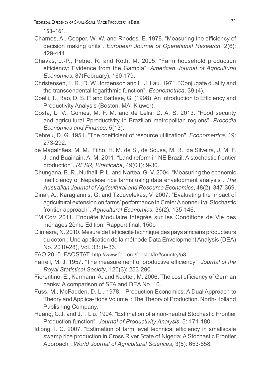153–161.

- Charnes, A., Cooper, W. W. and Rhodes, E. 1978. "Measuring the efficiency of decision making units". *European Journal of Operational Research*, 2(6): 429-444.
- Chavas, J.-P., Petrie, R. and Roth, M. 2005. "Farm household production efficiency: Evidence from the Gambia". *American Journal of Agricultural Economics*, 87(February), 160-179.
- Christensen, L. R., D. W. Jorgenson and L. J. Lau. 1971. "Conjugate duality and the transcendental logarithmic function". *Econometrica*, 39 (4).
- Coelli, T., Rao, D. S. P. and Battese, G. (1998). An Introduction to Efficiency and Productivity Analysis (Boston, MA, Kluwer).
- Costa, L. V., Gomes, M. F. M. and de Lelis, D. A. S. 2013. "Food security and agricultural Pproductivity in Brazilian metropolitan regions". *Procedia Economics and Finance*, 5(13).

Debreu, D. G. 1951. "The coefficient of resource utilization". *Econometrica*, 19: 273-292.

de Magalhães, M. M., Filho, H. M. de S., de Sousa, M. R., da Silveira, J. M. F. J. and Buainain, A. M. 2011. "Land reform in NE Brazil: A stochastic frontier production". *RESR, Piracicaba*, 49(01): 9-30.

Dhungana, B. R., Nuthall, P. L. and Nartea, G. V. 2004. "Measuring the economic inefficiency of Nepalese rice farms using data envelopment analysis". *The Australian Journal of Agricultural and Resource Economics*, 48(2): 347-369.

Dinar, A., Karagiannis, G. and Tzouvelekas, V. 2007. "Evaluating the impact of agricultural extension on farms' performance in Crete: A nonneutral Stochastic frontier approach". *Agricultural Economics*, 36(2): 135-146.

EMICoV 2011. Enquête Modulaire Intégrée sur les Conditions de Vie des ménages 2ème Edition, Rapport final, 150p

Djimasra, N. 2010. Mesure de l'efficacité technique des pays africains producteurs du coton : Une application de la méthode Data Envelopment Analysis (DEA) No. 2010-28), Vol. 33: 0–36.

FAO 2015. FAOSTAT, http://www.fao.org/faostat/fr/#country/53

- Farrell, M. J. 1957. "The measurement of productive efficiency". *Journal of the Royal Statistical Society*, 120(3): 253-290.
- Fiorentino, E., Karmann, A. and Koetter, M. 2006. The cost efficiency of German banks: A comparison of SFA and DEA No. 10.
- Fuss, M., McFadden, D. L., 1978. , Production Economics: A Dual Approach to Theory and Applica- tions Volume I: The Theory of Production. North-Holland Publishing Company.
- Huang, C.J. and J.T. Liu. 1994. "Estimation of a non-neutral Stochastic Frontier Production function". *Journal of Productivity Analysis*, 5: 171-180.
- Idiong, I. C. 2007. "Estimation of farm level technical efficiency in smallscale swamp rice production in Cross River State of Nigeria: A Stochastic Frontier Approach". *World Journal of Agricultural Sciences*, 3(5): 653-658.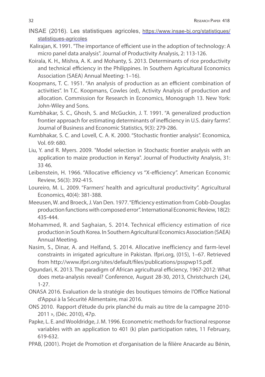- INSAE (2016). Les statistiques agricoles, https://www.insae-bj.org/statistiques/ statistiques-agricoles
- Kalirajan, K. 1991. "The importance of efficient use in the adoption of technology: A micro panel data analysis". Journal of Productivity Analysis, 2: 113-126.
- Koirala, K. H., Mishra, A. K. and Mohanty, S. 2013. Determinants of rice productivity and technical efficiency in the Philippines. In Southern Agricultural Economics Association (SAEA) Annual Meeting: 1–16).
- Koopmans, T. C. 1951. "An analysis of production as an efficient combination of activities". In T.C. Koopmans, Cowles (ed), Activity Analysis of production and allocation. Commission for Research in Economics, Monograph 13. New York: John-Wiley and Sons.
- Kumbhakar, S. C., Ghosh, S. and McGuckin, J. T. 1991. "A generalized production frontier approach for estimating determinants of inefficiency in U.S. dairy farms". Journal of Business and Economic Statistics, 9(3): 279-286.
- Kumbhakar, S. C. and Lovell, C. A. K. 2000. "Stochastic frontier analysis". Economica, Vol. 69: 680.
- Liu, Y. and R. Myers. 2009. "Model selection in Stochastic frontier analysis with an application to maize production in Kenya". Journal of Productivity Analysis, 31: 33 46.
- Leibenstein, H. 1966. "Allocative efficiency vs "X-efficiency". American Economic Review, 56(3): 392-415.
- Loureiro, M. L. 2009. "Farmers' health and agricultural productivity". Agricultural Economics, 40(4): 381-388.
- Meeusen, W. and Broeck, J. Van Den. 1977. "Efficiency estimation from Cobb-Douglas production functions with composed error". International Economic Review, 18(2): 435-444.
- Mohammed, R. and Saghaian, S. 2014. Technical efficiency estimation of rice production in South Korea. In Southern Agricultural Economics Association (SAEA) Annual Meeting.
- Nasim, S., Dinar, A. and Helfand, S. 2014. Allocative inefficiency and farm-level constraints in irrigated agriculture in Pakistan. Ifpri.org, (015), 1–67. Retrieved from http://www.ifpri.org/sites/default/files/publications/psspwp15.pdf.
- Ogundari, K. 2013. The paradigm of African agricultural efficiency, 1967-2012: What does meta-analysis reveal? Conference, August 28-30, 2013, Christchurch (24), 1-27.
- ONASA 2016. Evaluation de la stratégie des boutiques témoins de l'Office National d'Appui à la Sécurité Alimentaire, mai 2016.
- ONS 2010. Rapport d'étude du prix planché du maïs au titre de la campagne 2010- 2011 », (Déc. 2010), 47p.
- Papke, L. E. and Wooldridge, J. M. 1996. Econometric methods for fractional response variables with an application to 401 (k) plan participation rates, 11 February, 619-632.
- PPAB, (2001). Projet de Promotion et d'organisation de la filière Anacarde au Bénin,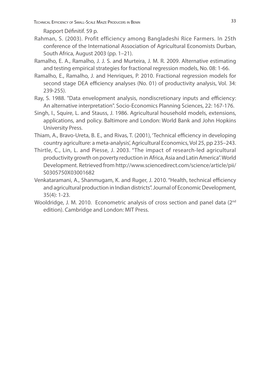Rapport Définitif. 59 p.

- Rahman, S. (2003). Profit efficiency among Bangladeshi Rice Farmers. In 25th conference of the International Association of Agricultural Economists Durban, South Africa, August 2003 (pp. 1–21).
- Ramalho, E. A., Ramalho, J. J. S. and Murteira, J. M. R. 2009. Alternative estimating and testing empirical strategies for fractional regression models, No. 08: 1-66.
- Ramalho, E., Ramalho, J. and Henriques, P. 2010. Fractional regression models for second stage DEA efficiency analyses (No. 01) of productivity analysis, Vol. 34: 239-255).
- Ray, S. 1988. "Data envelopment analysis, nondiscretionary inputs and efficiency: An alternative interpretation". Socio-Economics Planning Sciences, 22: 167-176.
- Singh, I., Squire, L. and Stauss, J. 1986. Agricultural household models, extensions, applications, and policy. Baltimore and London: World Bank and John Hopkins University Press.
- Thiam, A., Bravo-Ureta, B. E., and Rivas, T. (2001), 'Technical efficiency in developing country agriculture: a meta-analysis', Agricultural Economics, Vol 25, pp 235–243.
- Thirtle, C., Lin, L. and Piesse, J. 2003. "The impact of research-led agricultural productivity growth on poverty reduction in Africa, Asia and Latin America". World Development. Retrieved from http://www.sciencedirect.com/science/article/pii/ S0305750X03001682
- Venkataramani, A., Shanmugam, K. and Ruger, J. 2010. "Health, technical efficiency and agricultural production in Indian districts". Journal of Economic Development, 35(4): 1-23.
- Wooldridge, J. M. 2010. Econometric analysis of cross section and panel data (2<sup>nd</sup>) edition). Cambridge and London: MIT Press.